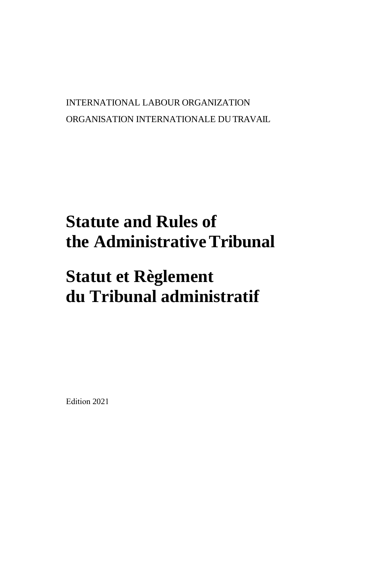# INTERNATIONAL LABOUR ORGANIZATION ORGANISATION INTERNATIONALE DU TRAVAIL

# **Statute and Rules of the Administrative Tribunal**

# **Statut et Règlement du Tribunal administratif**

Edition 2021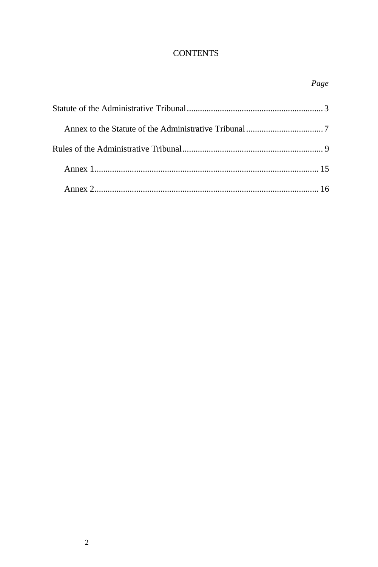# **CONTENTS**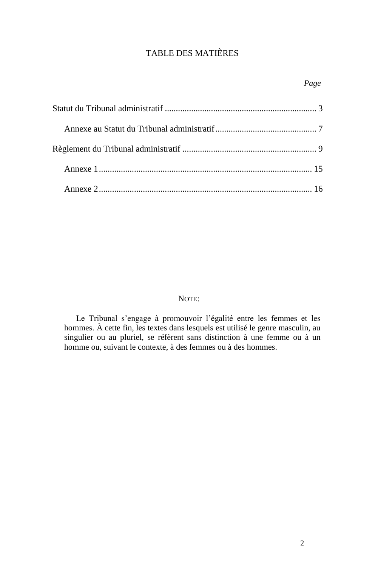# TABLE DES MATIÈRES

# NOTE:

Le Tribunal s'engage à promouvoir l'égalité entre les femmes et les hommes. À cette fin, les textes dans lesquels est utilisé le genre masculin, au singulier ou au pluriel, se réfèrent sans distinction à une femme ou à un homme ou, suivant le contexte, à des femmes ou à des hommes.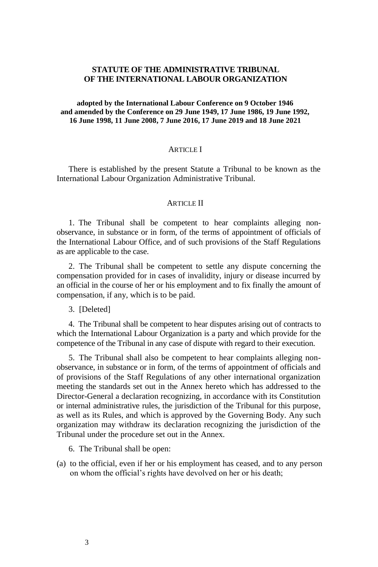# **STATUTE OF THE ADMINISTRATIVE TRIBUNAL OF THE INTERNATIONAL LABOUR ORGANIZATION**

#### **adopted by the International Labour Conference on 9 October 1946 and amended by the Conference on 29 June 1949, 17 June 1986, 19 June 1992, 16 June 1998, 11 June 2008, 7 June 2016, 17 June 2019 and 18 June 2021**

# **ARTICLE I**

There is established by the present Statute a Tribunal to be known as the International Labour Organization Administrative Tribunal.

#### **ARTICLE II**

1. The Tribunal shall be competent to hear complaints alleging nonobservance, in substance or in form, of the terms of appointment of officials of the International Labour Office, and of such provisions of the Staff Regulations as are applicable to the case.

2. The Tribunal shall be competent to settle any dispute concerning the compensation provided for in cases of invalidity, injury or disease incurred by an official in the course of her or his employment and to fix finally the amount of compensation, if any, which is to be paid.

3. [Deleted]

4. The Tribunal shall be competent to hear disputes arising out of contracts to which the International Labour Organization is a party and which provide for the competence of the Tribunal in any case of dispute with regard to their execution.

5. The Tribunal shall also be competent to hear complaints alleging nonobservance, in substance or in form, of the terms of appointment of officials and of provisions of the Staff Regulations of any other international organization meeting the standards set out in the Annex hereto which has addressed to the Director-General a declaration recognizing, in accordance with its Constitution or internal administrative rules, the jurisdiction of the Tribunal for this purpose, as well as its Rules, and which is approved by the Governing Body. Any such organization may withdraw its declaration recognizing the jurisdiction of the Tribunal under the procedure set out in the Annex.

6. The Tribunal shall be open:

(a) to the official, even if her or his employment has ceased, and to any person on whom the official's rights have devolved on her or his death;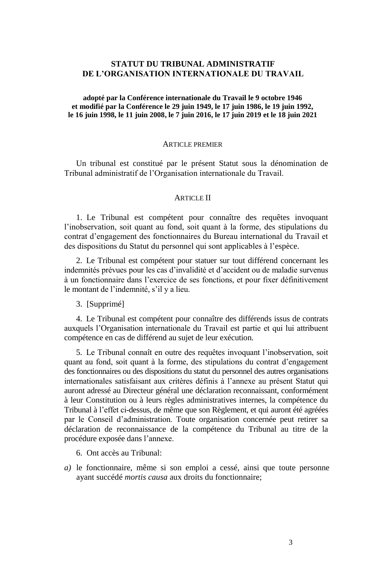# **STATUT DU TRIBUNAL ADMINISTRATIF DE L'ORGANISATION INTERNATIONALE DU TRAVAIL**

**adopté par la Conférence internationale du Travail le 9 octobre 1946 et modifié par la Conférence le 29 juin 1949, le 17 juin 1986, le 19 juin 1992, le 16 juin 1998, le 11 juin 2008, le 7 juin 2016, le 17 juin 2019 et le 18 juin 2021**

#### ARTICLE PREMIER

Un tribunal est constitué par le présent Statut sous la dénomination de Tribunal administratif de l'Organisation internationale du Travail.

#### **ARTICLE II**

1. Le Tribunal est compétent pour connaître des requêtes invoquant l'inobservation, soit quant au fond, soit quant à la forme, des stipulations du contrat d'engagement des fonctionnaires du Bureau international du Travail et des dispositions du Statut du personnel qui sont applicables à l'espèce.

2. Le Tribunal est compétent pour statuer sur tout différend concernant les indemnités prévues pour les cas d'invalidité et d'accident ou de maladie survenus à un fonctionnaire dans l'exercice de ses fonctions, et pour fixer définitivement le montant de l'indemnité, s'il y a lieu.

3. [Supprimé]

4. Le Tribunal est compétent pour connaître des différends issus de contrats auxquels l'Organisation internationale du Travail est partie et qui lui attribuent compétence en cas de différend au sujet de leur exécution.

5. Le Tribunal connaît en outre des requêtes invoquant l'inobservation, soit quant au fond, soit quant à la forme, des stipulations du contrat d'engagement des fonctionnaires ou des dispositions du statut du personnel des autres organisations internationales satisfaisant aux critères définis à l'annexe au présent Statut qui auront adressé au Directeur général une déclaration reconnaissant, conformément à leur Constitution ou à leurs règles administratives internes, la compétence du Tribunal à l'effet ci-dessus, de même que son Règlement, et qui auront été agréées par le Conseil d'administration. Toute organisation concernée peut retirer sa déclaration de reconnaissance de la compétence du Tribunal au titre de la procédure exposée dans l'annexe.

6. Ont accès au Tribunal:

*a)* le fonctionnaire, même si son emploi a cessé, ainsi que toute personne ayant succédé *mortis causa* aux droits du fonctionnaire;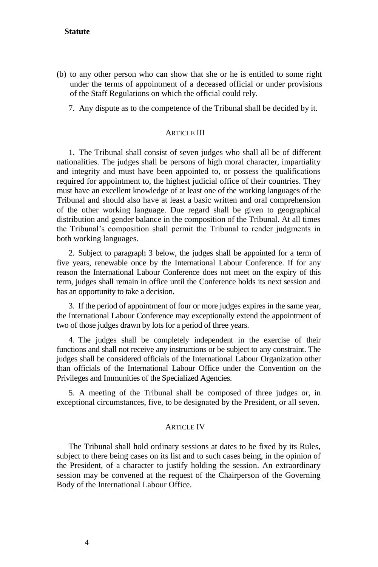# **Statute**

- (b) to any other person who can show that she or he is entitled to some right under the terms of appointment of a deceased official or under provisions of the Staff Regulations on which the official could rely.
	- 7. Any dispute as to the competence of the Tribunal shall be decided by it.

## **ARTICLE III**

1. The Tribunal shall consist of seven judges who shall all be of different nationalities. The judges shall be persons of high moral character, impartiality and integrity and must have been appointed to, or possess the qualifications required for appointment to, the highest judicial office of their countries. They must have an excellent knowledge of at least one of the working languages of the Tribunal and should also have at least a basic written and oral comprehension of the other working language. Due regard shall be given to geographical distribution and gender balance in the composition of the Tribunal. At all times the Tribunal's composition shall permit the Tribunal to render judgments in both working languages.

2. Subject to paragraph 3 below, the judges shall be appointed for a term of five years, renewable once by the International Labour Conference. If for any reason the International Labour Conference does not meet on the expiry of this term, judges shall remain in office until the Conference holds its next session and has an opportunity to take a decision.

3. If the period of appointment of four or more judges expires in the same year, the International Labour Conference may exceptionally extend the appointment of two of those judges drawn by lots for a period of three years.

4. The judges shall be completely independent in the exercise of their functions and shall not receive any instructions or be subject to any constraint. The judges shall be considered officials of the International Labour Organization other than officials of the International Labour Office under the Convention on the Privileges and Immunities of the Specialized Agencies.

5. A meeting of the Tribunal shall be composed of three judges or, in exceptional circumstances, five, to be designated by the President, or all seven.

#### **ARTICLE IV**

The Tribunal shall hold ordinary sessions at dates to be fixed by its Rules, subject to there being cases on its list and to such cases being, in the opinion of the President, of a character to justify holding the session. An extraordinary session may be convened at the request of the Chairperson of the Governing Body of the International Labour Office.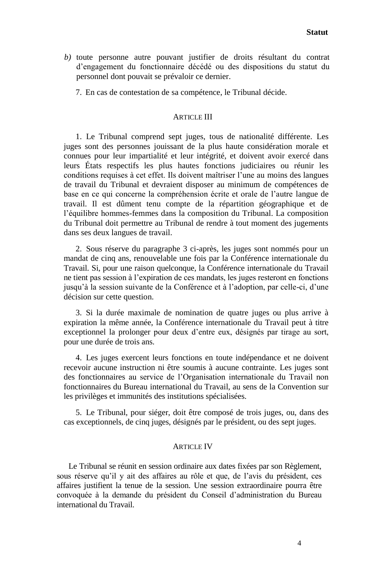- *b)* toute personne autre pouvant justifier de droits résultant du contrat d'engagement du fonctionnaire décédé ou des dispositions du statut du personnel dont pouvait se prévaloir ce dernier.
	- 7. En cas de contestation de sa compétence, le Tribunal décide.

#### **ARTICLE III**

1. Le Tribunal comprend sept juges, tous de nationalité différente. Les juges sont des personnes jouissant de la plus haute considération morale et connues pour leur impartialité et leur intégrité, et doivent avoir exercé dans leurs États respectifs les plus hautes fonctions judiciaires ou réunir les conditions requises à cet effet. Ils doivent maîtriser l'une au moins des langues de travail du Tribunal et devraient disposer au minimum de compétences de base en ce qui concerne la compréhension écrite et orale de l'autre langue de travail. Il est dûment tenu compte de la répartition géographique et de l'équilibre hommes-femmes dans la composition du Tribunal. La composition du Tribunal doit permettre au Tribunal de rendre à tout moment des jugements dans ses deux langues de travail.

2. Sous réserve du paragraphe 3 ci-après, les juges sont nommés pour un mandat de cinq ans, renouvelable une fois par la Conférence internationale du Travail. Si, pour une raison quelconque, la Conférence internationale du Travail ne tient pas session à l'expiration de ces mandats, les juges resteront en fonctions jusqu'à la session suivante de la Conférence et à l'adoption, par celle-ci, d'une décision sur cette question.

3. Si la durée maximale de nomination de quatre juges ou plus arrive à expiration la même année, la Conférence internationale du Travail peut à titre exceptionnel la prolonger pour deux d'entre eux, désignés par tirage au sort, pour une durée de trois ans.

4. Les juges exercent leurs fonctions en toute indépendance et ne doivent recevoir aucune instruction ni être soumis à aucune contrainte. Les juges sont des fonctionnaires au service de l'Organisation internationale du Travail non fonctionnaires du Bureau international du Travail, au sens de la Convention sur les privilèges et immunités des institutions spécialisées.

5. Le Tribunal, pour siéger, doit être composé de trois juges, ou, dans des cas exceptionnels, de cinq juges, désignés par le président, ou des sept juges.

#### **ARTICLE IV**

Le Tribunal se réunit en session ordinaire aux dates fixées par son Règlement, sous réserve qu'il y ait des affaires au rôle et que, de l'avis du président, ces affaires justifient la tenue de la session. Une session extraordinaire pourra être convoquée à la demande du président du Conseil d'administration du Bureau international du Travail.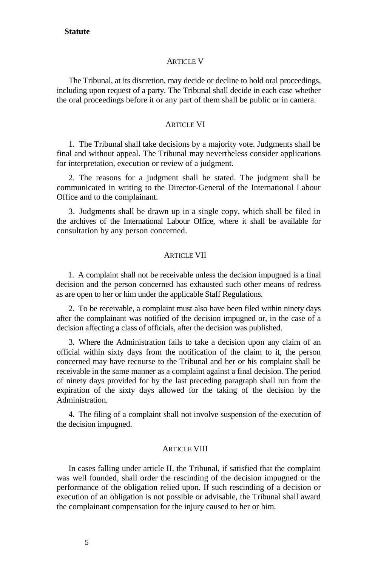#### **Statute**

#### **ARTICLE V**

The Tribunal, at its discretion, may decide or decline to hold oral proceedings, including upon request of a party. The Tribunal shall decide in each case whether the oral proceedings before it or any part of them shall be public or in camera.

# **ARTICLE VI**

1. The Tribunal shall take decisions by a majority vote. Judgments shall be final and without appeal. The Tribunal may nevertheless consider applications for interpretation, execution or review of a judgment.

2. The reasons for a judgment shall be stated. The judgment shall be communicated in writing to the Director-General of the International Labour Office and to the complainant.

3. Judgments shall be drawn up in a single copy, which shall be filed in the archives of the International Labour Office, where it shall be available for consultation by any person concerned.

#### ARTICLE VII

1. A complaint shall not be receivable unless the decision impugned is a final decision and the person concerned has exhausted such other means of redress as are open to her or him under the applicable Staff Regulations.

2. To be receivable, a complaint must also have been filed within ninety days after the complainant was notified of the decision impugned or, in the case of a decision affecting a class of officials, after the decision was published.

3. Where the Administration fails to take a decision upon any claim of an official within sixty days from the notification of the claim to it, the person concerned may have recourse to the Tribunal and her or his complaint shall be receivable in the same manner as a complaint against a final decision. The period of ninety days provided for by the last preceding paragraph shall run from the expiration of the sixty days allowed for the taking of the decision by the Administration.

4. The filing of a complaint shall not involve suspension of the execution of the decision impugned.

#### **ARTICLE VIII**

In cases falling under article II, the Tribunal, if satisfied that the complaint was well founded, shall order the rescinding of the decision impugned or the performance of the obligation relied upon. If such rescinding of a decision or execution of an obligation is not possible or advisable, the Tribunal shall award the complainant compensation for the injury caused to her or him.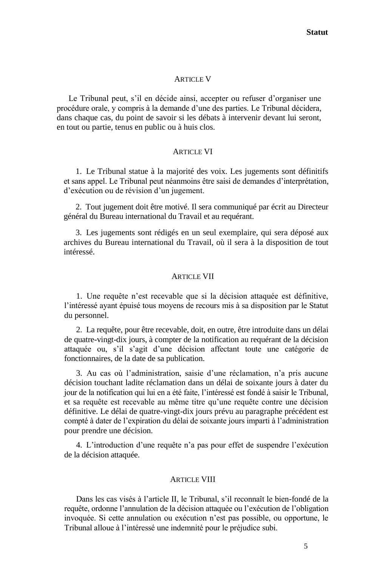# **ARTICLE V**

Le Tribunal peut, s'il en décide ainsi, accepter ou refuser d'organiser une procédure orale, y compris à la demande d'une des parties. Le Tribunal décidera, dans chaque cas, du point de savoir si les débats à intervenir devant lui seront, en tout ou partie, tenus en public ou à huis clos.

#### **ARTICLE VI**

1. Le Tribunal statue à la majorité des voix. Les jugements sont définitifs et sans appel. Le Tribunal peut néanmoins être saisi de demandes d'interprétation, d'exécution ou de révision d'un jugement.

2. Tout jugement doit être motivé. Il sera communiqué par écrit au Directeur général du Bureau international du Travail et au requérant.

3. Les jugements sont rédigés en un seul exemplaire, qui sera déposé aux archives du Bureau international du Travail, où il sera à la disposition de tout intéressé.

#### **ARTICLE VII**

1. Une requête n'est recevable que si la décision attaquée est définitive, l'intéressé ayant épuisé tous moyens de recours mis à sa disposition par le Statut du personnel.

2. La requête, pour être recevable, doit, en outre, être introduite dans un délai de quatre-vingt-dix jours, à compter de la notification au requérant de la décision attaquée ou, s'il s'agit d'une décision affectant toute une catégorie de fonctionnaires, de la date de sa publication.

3. Au cas où l'administration, saisie d'une réclamation, n'a pris aucune décision touchant ladite réclamation dans un délai de soixante jours à dater du jour de la notification qui lui en a été faite, l'intéressé est fondé à saisir le Tribunal, et sa requête est recevable au même titre qu'une requête contre une décision définitive. Le délai de quatre-vingt-dix jours prévu au paragraphe précédent est compté à dater de l'expiration du délai de soixante jours imparti à l'administration pour prendre une décision.

4. L'introduction d'une requête n'a pas pour effet de suspendre l'exécution de la décision attaquée.

## **ARTICLE VIII**

Dans les cas visés à l'article II, le Tribunal, s'il reconnaît le bien-fondé de la requête, ordonne l'annulation de la décision attaquée ou l'exécution de l'obligation invoquée. Si cette annulation ou exécution n'est pas possible, ou opportune, le Tribunal alloue à l'intéressé une indemnité pour le préjudice subi.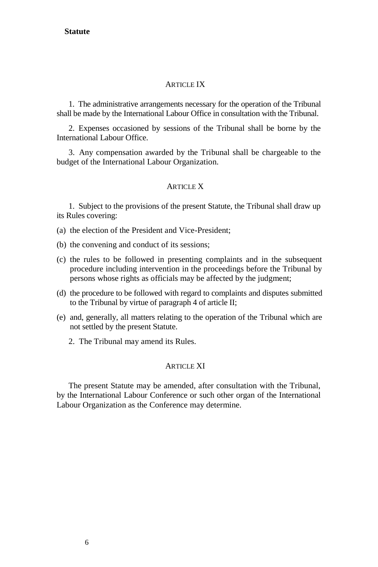# **Statute**

## **ARTICLE IX**

1. The administrative arrangements necessary for the operation of the Tribunal shall be made by the International Labour Office in consultation with the Tribunal.

2. Expenses occasioned by sessions of the Tribunal shall be borne by the International Labour Office.

3. Any compensation awarded by the Tribunal shall be chargeable to the budget of the International Labour Organization.

# **ARTICLE X**

1. Subject to the provisions of the present Statute, the Tribunal shall draw up its Rules covering:

(a) the election of the President and Vice-President;

- (b) the convening and conduct of its sessions;
- (c) the rules to be followed in presenting complaints and in the subsequent procedure including intervention in the proceedings before the Tribunal by persons whose rights as officials may be affected by the judgment;
- (d) the procedure to be followed with regard to complaints and disputes submitted to the Tribunal by virtue of paragraph 4 of article II;
- (e) and, generally, all matters relating to the operation of the Tribunal which are not settled by the present Statute.
	- 2. The Tribunal may amend its Rules.

# **ARTICLE XI**

The present Statute may be amended, after consultation with the Tribunal, by the International Labour Conference or such other organ of the International Labour Organization as the Conference may determine.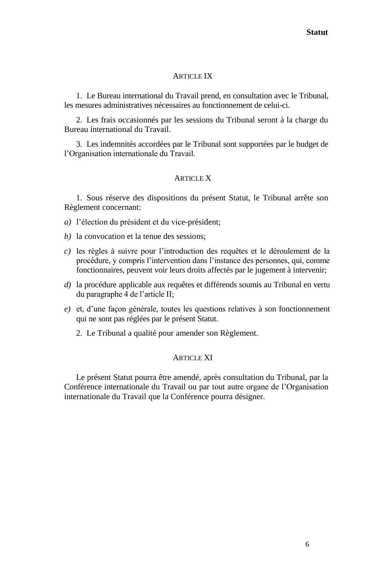#### **ARTICLE IX**

1. Le Bureau international du Travail prend, en consultation avec le Tribunal, les mesures administratives nécessaires au fonctionnement de celui-ci.

2. Les frais occasionnés par les sessions du Tribunal seront à la charge du Bureau international du Travail.

3. Les indemnités accordées par le Tribunal sont supportées par le budget de l'Organisation internationale du Travail.

# ARTICLE X

1. Sous réserve des dispositions du présent Statut, le Tribunal arrête son Règlement concernant:

*a)* l'élection du président et du vice-président;

- *b)* la convocation et la tenue des sessions;
- *c)* les règles à suivre pour l'introduction des requêtes et le déroulement de la procédure, y compris l'intervention dans l'instance des personnes, qui, comme fonctionnaires, peuvent voir leurs droits affectés par le jugement à intervenir;
- *d)* la procédure applicable aux requêtes et différends soumis au Tribunal en vertu du paragraphe 4 de l'article II;
- *e)* et, d'une façon générale, toutes les questions relatives à son fonctionnement qui ne sont pas réglées par le présent Statut.
	- 2. Le Tribunal a qualité pour amender son Règlement.

#### **ARTICLE XI**

Le présent Statut pourra être amendé, après consultation du Tribunal, par la Conférence internationale du Travail ou par tout autre organe de l'Organisation internationale du Travail que la Conférence pourra désigner.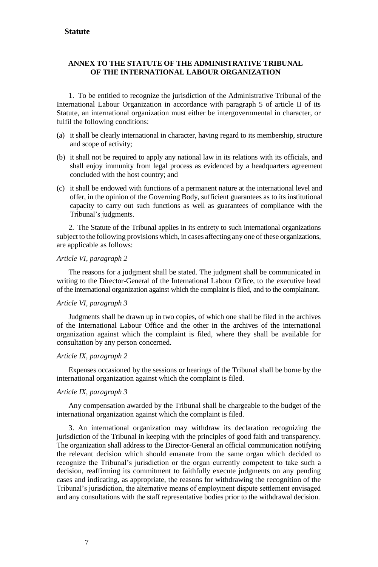#### **ANNEX TO THE STATUTE OF THE ADMINISTRATIVE TRIBUNAL OF THE INTERNATIONAL LABOUR ORGANIZATION**

1. To be entitled to recognize the jurisdiction of the Administrative Tribunal of the International Labour Organization in accordance with paragraph 5 of article II of its Statute, an international organization must either be intergovernmental in character, or fulfil the following conditions:

- (a) it shall be clearly international in character, having regard to its membership, structure and scope of activity;
- (b) it shall not be required to apply any national law in its relations with its officials, and shall enjoy immunity from legal process as evidenced by a headquarters agreement concluded with the host country; and
- (c) it shall be endowed with functions of a permanent nature at the international level and offer, in the opinion of the Governing Body, sufficient guarantees as to its institutional capacity to carry out such functions as well as guarantees of compliance with the Tribunal's judgments.

2. The Statute of the Tribunal applies in its entirety to such international organizations subject to the following provisions which, in cases affecting any one of these organizations, are applicable as follows:

#### *Article VI, paragraph 2*

The reasons for a judgment shall be stated. The judgment shall be communicated in writing to the Director-General of the International Labour Office, to the executive head of the international organization against which the complaint is filed, and to the complainant.

#### *Article VI, paragraph 3*

Judgments shall be drawn up in two copies, of which one shall be filed in the archives of the International Labour Office and the other in the archives of the international organization against which the complaint is filed, where they shall be available for consultation by any person concerned.

#### *Article IX, paragraph 2*

Expenses occasioned by the sessions or hearings of the Tribunal shall be borne by the international organization against which the complaint is filed.

#### *Article IX, paragraph 3*

Any compensation awarded by the Tribunal shall be chargeable to the budget of the international organization against which the complaint is filed.

3. An international organization may withdraw its declaration recognizing the jurisdiction of the Tribunal in keeping with the principles of good faith and transparency. The organization shall address to the Director-General an official communication notifying the relevant decision which should emanate from the same organ which decided to recognize the Tribunal's jurisdiction or the organ currently competent to take such a decision, reaffirming its commitment to faithfully execute judgments on any pending cases and indicating, as appropriate, the reasons for withdrawing the recognition of the Tribunal's jurisdiction, the alternative means of employment dispute settlement envisaged and any consultations with the staff representative bodies prior to the withdrawal decision.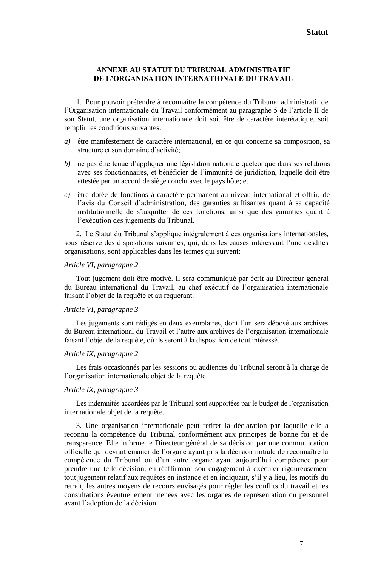#### **ANNEXE AU STATUT DU TRIBUNAL ADMINISTRATIF DE L'ORGANISATION INTERNATIONALE DU TRAVAIL**

1. Pour pouvoir prétendre à reconnaître la compétence du Tribunal administratif de l'Organisation internationale du Travail conformément au paragraphe 5 de l'article II de son Statut, une organisation internationale doit soit être de caractère interétatique, soit remplir les conditions suivantes:

- *a)* être manifestement de caractère international, en ce qui concerne sa composition, sa structure et son domaine d'activité;
- *b)* ne pas être tenue d'appliquer une législation nationale quelconque dans ses relations avec ses fonctionnaires, et bénéficier de l'immunité de juridiction, laquelle doit être attestée par un accord de siège conclu avec le pays hôte; et
- *c)* être dotée de fonctions à caractère permanent au niveau international et offrir, de l'avis du Conseil d'administration, des garanties suffisantes quant à sa capacité institutionnelle de s'acquitter de ces fonctions, ainsi que des garanties quant à l'exécution des jugements du Tribunal.

2. Le Statut du Tribunal s'applique intégralement à ces organisations internationales, sous réserve des dispositions suivantes, qui, dans les causes intéressant l'une desdites organisations, sont applicables dans les termes qui suivent:

#### *Article VI, paragraphe 2*

Tout jugement doit être motivé. Il sera communiqué par écrit au Directeur général du Bureau international du Travail, au chef exécutif de l'organisation internationale faisant l'objet de la requête et au requérant.

#### *Article VI, paragraphe 3*

Les jugements sont rédigés en deux exemplaires, dont l'un sera déposé aux archives du Bureau international du Travail et l'autre aux archives de l'organisation internationale faisant l'objet de la requête, où ils seront à la disposition de tout intéressé.

#### *Article IX, paragraphe 2*

Les frais occasionnés par les sessions ou audiences du Tribunal seront à la charge de l'organisation internationale objet de la requête.

#### *Article IX, paragraphe 3*

Les indemnités accordées par le Tribunal sont supportées par le budget de l'organisation internationale objet de la requête.

3. Une organisation internationale peut retirer la déclaration par laquelle elle a reconnu la compétence du Tribunal conformément aux principes de bonne foi et de transparence. Elle informe le Directeur général de sa décision par une communication officielle qui devrait émaner de l'organe ayant pris la décision initiale de reconnaître la compétence du Tribunal ou d'un autre organe ayant aujourd'hui compétence pour prendre une telle décision, en réaffirmant son engagement à exécuter rigoureusement tout jugement relatif aux requêtes en instance et en indiquant, s'il y a lieu, les motifs du retrait, les autres moyens de recours envisagés pour régler les conflits du travail et les consultations éventuellement menées avec les organes de représentation du personnel avant l'adoption de la décision.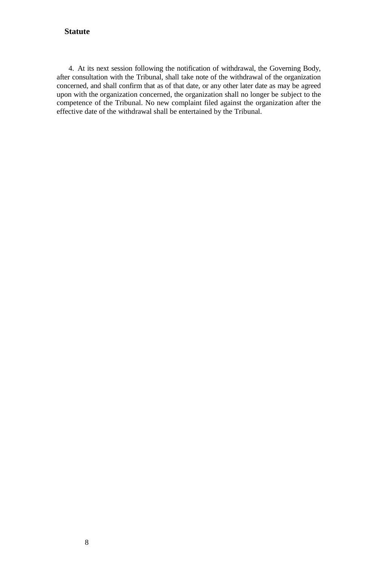# **Statute**

4. At its next session following the notification of withdrawal, the Governing Body, after consultation with the Tribunal, shall take note of the withdrawal of the organization concerned, and shall confirm that as of that date, or any other later date as may be agreed upon with the organization concerned, the organization shall no longer be subject to the competence of the Tribunal. No new complaint filed against the organization after the effective date of the withdrawal shall be entertained by the Tribunal.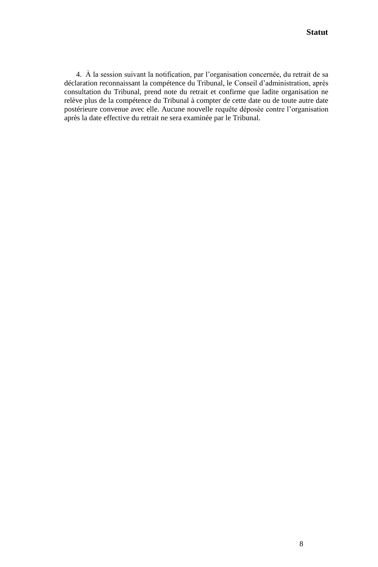4. À la session suivant la notification, par l'organisation concernée, du retrait de sa déclaration reconnaissant la compétence du Tribunal, le Conseil d'administration, après consultation du Tribunal, prend note du retrait et confirme que ladite organisation ne relève plus de la compétence du Tribunal à compter de cette date ou de toute autre date postérieure convenue avec elle. Aucune nouvelle requête déposée contre l'organisation après la date effective du retrait ne sera examinée par le Tribunal.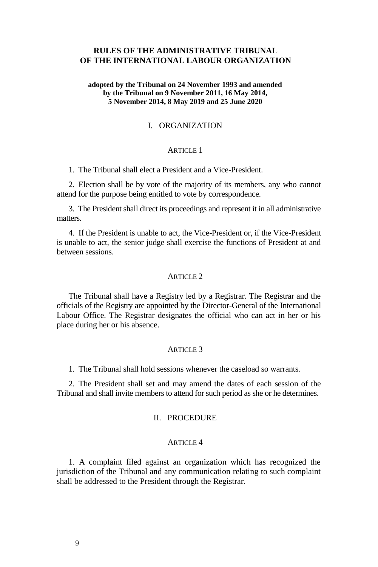# **RULES OF THE ADMINISTRATIVE TRIBUNAL OF THE INTERNATIONAL LABOUR ORGANIZATION**

#### **adopted by the Tribunal on 24 November 1993 and amended by the Tribunal on 9 November 2011, 16 May 2014, 5 November 2014, 8 May 2019 and 25 June 2020**

# I. ORGANIZATION

# ARTICLE 1

1. The Tribunal shall elect a President and a Vice-President.

2. Election shall be by vote of the majority of its members, any who cannot attend for the purpose being entitled to vote by correspondence.

3. The President shall direct its proceedings and represent it in all administrative matters.

4. If the President is unable to act, the Vice-President or, if the Vice-President is unable to act, the senior judge shall exercise the functions of President at and between sessions.

#### ARTICLE 2

The Tribunal shall have a Registry led by a Registrar. The Registrar and the officials of the Registry are appointed by the Director-General of the International Labour Office. The Registrar designates the official who can act in her or his place during her or his absence.

#### ARTICLE 3

1. The Tribunal shall hold sessions whenever the caseload so warrants.

2. The President shall set and may amend the dates of each session of the Tribunal and shall invite members to attend for such period as she or he determines.

# II. PROCEDURE

#### ARTICLE 4

1. A complaint filed against an organization which has recognized the jurisdiction of the Tribunal and any communication relating to such complaint shall be addressed to the President through the Registrar.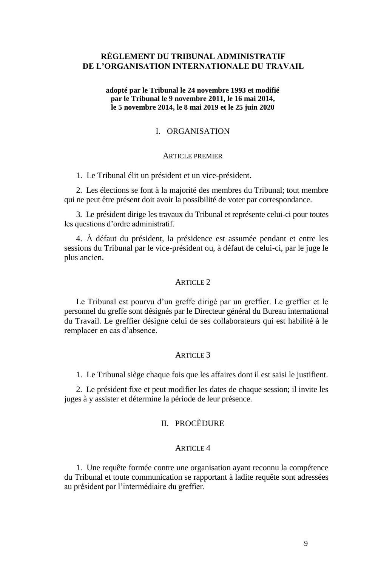# **RÈGLEMENT DU TRIBUNAL ADMINISTRATIF DE L'ORGANISATION INTERNATIONALE DU TRAVAIL**

#### **adopté par le Tribunal le 24 novembre 1993 et modifié par le Tribunal le 9 novembre 2011, le 16 mai 2014, le 5 novembre 2014, le 8 mai 2019 et le 25 juin 2020**

#### I. ORGANISATION

#### ARTICLE PREMIER

1. Le Tribunal élit un président et un vice-président.

2. Les élections se font à la majorité des membres du Tribunal; tout membre qui ne peut être présent doit avoir la possibilité de voter par correspondance.

3. Le président dirige les travaux du Tribunal et représente celui-ci pour toutes les questions d'ordre administratif.

4. À défaut du président, la présidence est assumée pendant et entre les sessions du Tribunal par le vice-président ou, à défaut de celui-ci, par le juge le plus ancien.

#### ARTICLE 2

Le Tribunal est pourvu d'un greffe dirigé par un greffier. Le greffier et le personnel du greffe sont désignés par le Directeur général du Bureau international du Travail. Le greffier désigne celui de ses collaborateurs qui est habilité à le remplacer en cas d'absence.

#### ARTICLE 3

1. Le Tribunal siège chaque fois que les affaires dont il est saisi le justifient.

2. Le président fixe et peut modifier les dates de chaque session; il invite les juges à y assister et détermine la période de leur présence.

# II. PROCÉDURE

#### ARTICLE 4

1. Une requête formée contre une organisation ayant reconnu la compétence du Tribunal et toute communication se rapportant à ladite requête sont adressées au président par l'intermédiaire du greffier.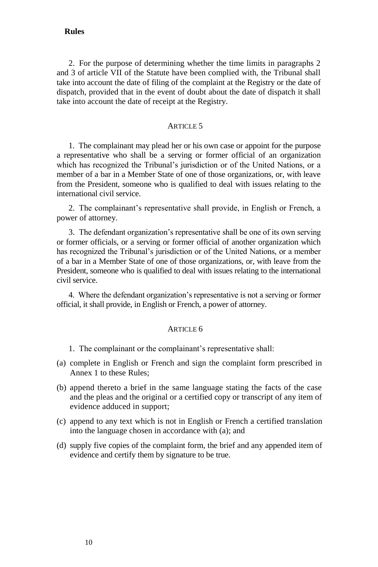# **Rules**

2. For the purpose of determining whether the time limits in paragraphs 2 and 3 of article VII of the Statute have been complied with, the Tribunal shall take into account the date of filing of the complaint at the Registry or the date of dispatch, provided that in the event of doubt about the date of dispatch it shall take into account the date of receipt at the Registry.

#### $ARTICI$ F<sub>5</sub>

1. The complainant may plead her or his own case or appoint for the purpose a representative who shall be a serving or former official of an organization which has recognized the Tribunal's jurisdiction or of the United Nations, or a member of a bar in a Member State of one of those organizations, or, with leave from the President, someone who is qualified to deal with issues relating to the international civil service.

2. The complainant's representative shall provide, in English or French, a power of attorney.

3. The defendant organization's representative shall be one of its own serving or former officials, or a serving or former official of another organization which has recognized the Tribunal's jurisdiction or of the United Nations, or a member of a bar in a Member State of one of those organizations, or, with leave from the President, someone who is qualified to deal with issues relating to the international civil service.

4. Where the defendant organization's representative is not a serving or former official, it shall provide, in English or French, a power of attorney.

#### ARTICLE 6

- 1. The complainant or the complainant's representative shall:
- (a) complete in English or French and sign the complaint form prescribed in Annex 1 to these Rules;
- (b) append thereto a brief in the same language stating the facts of the case and the pleas and the original or a certified copy or transcript of any item of evidence adduced in support;
- (c) append to any text which is not in English or French a certified translation into the language chosen in accordance with (a); and
- (d) supply five copies of the complaint form, the brief and any appended item of evidence and certify them by signature to be true.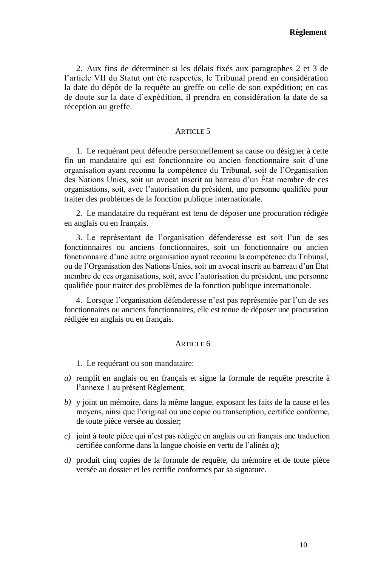2. Aux fins de déterminer si les délais fixés aux paragraphes 2 et 3 de l'article VII du Statut ont été respectés, le Tribunal prend en considération la date du dépôt de la requête au greffe ou celle de son expédition; en cas de doute sur la date d'expédition, il prendra en considération la date de sa réception au greffe.

# ARTICLE 5

1. Le requérant peut défendre personnellement sa cause ou désigner à cette fin un mandataire qui est fonctionnaire ou ancien fonctionnaire soit d'une organisation ayant reconnu la compétence du Tribunal, soit de l'Organisation des Nations Unies, soit un avocat inscrit au barreau d'un État membre de ces organisations, soit, avec l'autorisation du président, une personne qualifiée pour traiter des problèmes de la fonction publique internationale.

2. Le mandataire du requérant est tenu de déposer une procuration rédigée en anglais ou en français.

3. Le représentant de l'organisation défenderesse est soit l'un de ses fonctionnaires ou anciens fonctionnaires, soit un fonctionnaire ou ancien fonctionnaire d'une autre organisation ayant reconnu la compétence du Tribunal, ou de l'Organisation des Nations Unies, soit un avocat inscrit au barreau d'un État membre de ces organisations, soit, avec l'autorisation du président, une personne qualifiée pour traiter des problèmes de la fonction publique internationale.

4. Lorsque l'organisation défenderesse n'est pas représentée par l'un de ses fonctionnaires ou anciens fonctionnaires, elle est tenue de déposer une procuration rédigée en anglais ou en français.

#### ARTICLE 6

1. Le requérant ou son mandataire:

- *a)* remplit en anglais ou en français et signe la formule de requête prescrite à l'annexe 1 au présent Règlement;
- *b)* y joint un mémoire, dans la même langue, exposant les faits de la cause et les moyens, ainsi que l'original ou une copie ou transcription, certifiée conforme, de toute pièce versée au dossier;
- *c)* joint à toute pièce qui n'est pas rédigée en anglais ou en français une traduction certifiée conforme dans la langue choisie en vertu de l'alinéa *a)*;
- *d)* produit cinq copies de la formule de requête, du mémoire et de toute pièce versée au dossier et les certifie conformes par sa signature.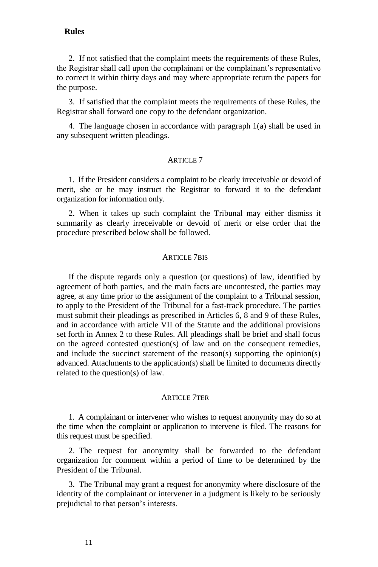#### **Rules**

2. If not satisfied that the complaint meets the requirements of these Rules, the Registrar shall call upon the complainant or the complainant's representative to correct it within thirty days and may where appropriate return the papers for the purpose.

3. If satisfied that the complaint meets the requirements of these Rules, the Registrar shall forward one copy to the defendant organization.

4. The language chosen in accordance with paragraph 1(a) shall be used in any subsequent written pleadings.

## ARTICLE 7

1. If the President considers a complaint to be clearly irreceivable or devoid of merit, she or he may instruct the Registrar to forward it to the defendant organization for information only.

2. When it takes up such complaint the Tribunal may either dismiss it summarily as clearly irreceivable or devoid of merit or else order that the procedure prescribed below shall be followed.

#### ARTICLE 7BIS

If the dispute regards only a question (or questions) of law, identified by agreement of both parties, and the main facts are uncontested, the parties may agree, at any time prior to the assignment of the complaint to a Tribunal session, to apply to the President of the Tribunal for a fast-track procedure. The parties must submit their pleadings as prescribed in Articles 6, 8 and 9 of these Rules, and in accordance with article VII of the Statute and the additional provisions set forth in Annex 2 to these Rules. All pleadings shall be brief and shall focus on the agreed contested question(s) of law and on the consequent remedies, and include the succinct statement of the reason(s) supporting the opinion(s) advanced. Attachments to the application(s) shall be limited to documents directly related to the question(s) of law.

#### ARTICLE 7TER

1. A complainant or intervener who wishes to request anonymity may do so at the time when the complaint or application to intervene is filed. The reasons for this request must be specified.

2. The request for anonymity shall be forwarded to the defendant organization for comment within a period of time to be determined by the President of the Tribunal.

3. The Tribunal may grant a request for anonymity where disclosure of the identity of the complainant or intervener in a judgment is likely to be seriously prejudicial to that person's interests.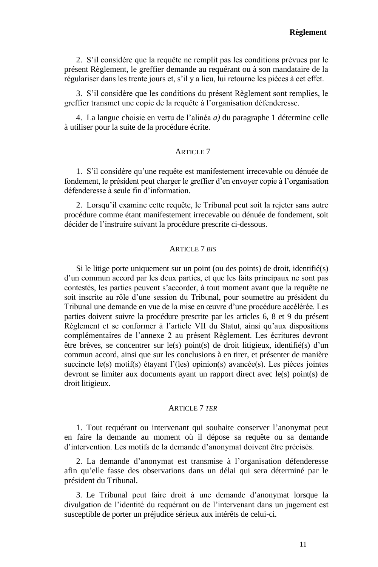2. S'il considère que la requête ne remplit pas les conditions prévues par le présent Règlement, le greffier demande au requérant ou à son mandataire de la régulariser dans les trente jours et, s'il y a lieu, lui retourne les pièces à cet effet.

3. S'il considère que les conditions du présent Règlement sont remplies, le greffier transmet une copie de la requête à l'organisation défenderesse.

4. La langue choisie en vertu de l'alinéa *a)* du paragraphe 1 détermine celle à utiliser pour la suite de la procédure écrite.

#### ARTICLE 7

1. S'il considère qu'une requête est manifestement irrecevable ou dénuée de fondement, le président peut charger le greffier d'en envoyer copie à l'organisation défenderesse à seule fin d'information.

2. Lorsqu'il examine cette requête, le Tribunal peut soit la rejeter sans autre procédure comme étant manifestement irrecevable ou dénuée de fondement, soit décider de l'instruire suivant la procédure prescrite ci-dessous.

#### ARTICLE 7 *BIS*

Si le litige porte uniquement sur un point (ou des points) de droit, identifié(s) d'un commun accord par les deux parties, et que les faits principaux ne sont pas contestés, les parties peuvent s'accorder, à tout moment avant que la requête ne soit inscrite au rôle d'une session du Tribunal, pour soumettre au président du Tribunal une demande en vue de la mise en œuvre d'une procédure accélérée. Les parties doivent suivre la procédure prescrite par les articles 6, 8 et 9 du présent Règlement et se conformer à l'article VII du Statut, ainsi qu'aux dispositions complémentaires de l'annexe 2 au présent Règlement. Les écritures devront être brèves, se concentrer sur le(s) point(s) de droit litigieux, identifié(s) d'un commun accord, ainsi que sur les conclusions à en tirer, et présenter de manière succincte le(s) motif(s) étayant l'(les) opinion(s) avancée(s). Les pièces jointes devront se limiter aux documents ayant un rapport direct avec le(s) point(s) de droit litigieux.

#### ARTICLE 7 *TER*

1. Tout requérant ou intervenant qui souhaite conserver l'anonymat peut en faire la demande au moment où il dépose sa requête ou sa demande d'intervention. Les motifs de la demande d'anonymat doivent être précisés.

2. La demande d'anonymat est transmise à l'organisation défenderesse afin qu'elle fasse des observations dans un délai qui sera déterminé par le président du Tribunal.

3. Le Tribunal peut faire droit à une demande d'anonymat lorsque la divulgation de l'identité du requérant ou de l'intervenant dans un jugement est susceptible de porter un préjudice sérieux aux intérêts de celui-ci.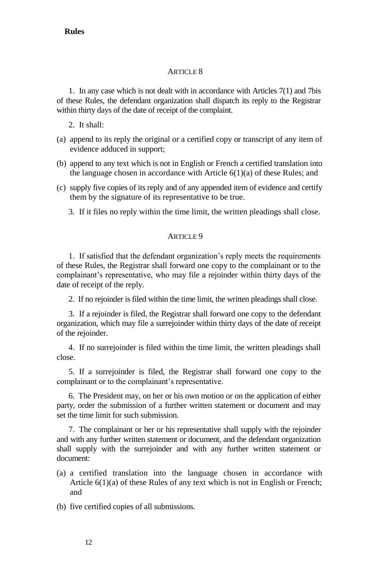1. In any case which is not dealt with in accordance with Articles 7(1) and 7bis of these Rules, the defendant organization shall dispatch its reply to the Registrar within thirty days of the date of receipt of the complaint.

- 2. It shall:
- (a) append to its reply the original or a certified copy or transcript of any item of evidence adduced in support;
- (b) append to any text which is not in English or French a certified translation into the language chosen in accordance with Article 6(1)(a) of these Rules; and
- (c) supply five copies of its reply and of any appended item of evidence and certify them by the signature of its representative to be true.
	- 3. If it files no reply within the time limit, the written pleadings shall close.

# **ARTICLE 9**

1. If satisfied that the defendant organization's reply meets the requirements of these Rules, the Registrar shall forward one copy to the complainant or to the complainant's representative, who may file a rejoinder within thirty days of the date of receipt of the reply.

2. If no rejoinder is filed within the time limit, the written pleadings shall close.

3. If a rejoinder is filed, the Registrar shall forward one copy to the defendant organization, which may file a surrejoinder within thirty days of the date of receipt of the rejoinder.

4. If no surrejoinder is filed within the time limit, the written pleadings shall close.

5. If a surrejoinder is filed, the Registrar shall forward one copy to the complainant or to the complainant's representative.

6. The President may, on her or his own motion or on the application of either party, order the submission of a further written statement or document and may set the time limit for such submission.

7. The complainant or her or his representative shall supply with the rejoinder and with any further written statement or document, and the defendant organization shall supply with the surrejoinder and with any further written statement or document:

(a) a certified translation into the language chosen in accordance with Article 6(1)(a) of these Rules of any text which is not in English or French; and

(b) five certified copies of all submissions.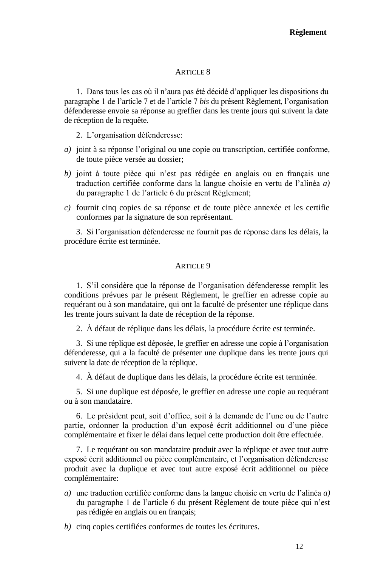1. Dans tous les cas où il n'aura pas été décidé d'appliquer les dispositions du paragraphe 1 de l'article 7 et de l'article 7 *bis* du présent Règlement, l'organisation défenderesse envoie sa réponse au greffier dans les trente jours qui suivent la date de réception de la requête.

2. L'organisation défenderesse:

- *a)* joint à sa réponse l'original ou une copie ou transcription, certifiée conforme, de toute pièce versée au dossier;
- *b)* joint à toute pièce qui n'est pas rédigée en anglais ou en français une traduction certifiée conforme dans la langue choisie en vertu de l'alinéa *a)* du paragraphe 1 de l'article 6 du présent Règlement;
- *c)* fournit cinq copies de sa réponse et de toute pièce annexée et les certifie conformes par la signature de son représentant.

3. Si l'organisation défenderesse ne fournit pas de réponse dans les délais, la procédure écrite est terminée.

#### **ARTICLE 9**

1. S'il considère que la réponse de l'organisation défenderesse remplit les conditions prévues par le présent Règlement, le greffier en adresse copie au requérant ou à son mandataire, qui ont la faculté de présenter une réplique dans les trente jours suivant la date de réception de la réponse.

2. À défaut de réplique dans les délais, la procédure écrite est terminée.

3. Si une réplique est déposée, le greffier en adresse une copie à l'organisation défenderesse, qui a la faculté de présenter une duplique dans les trente jours qui suivent la date de réception de la réplique.

4. À défaut de duplique dans les délais, la procédure écrite est terminée.

5. Si une duplique est déposée, le greffier en adresse une copie au requérant ou à son mandataire.

6. Le président peut, soit d'office, soit à la demande de l'une ou de l'autre partie, ordonner la production d'un exposé écrit additionnel ou d'une pièce complémentaire et fixer le délai dans lequel cette production doit être effectuée.

7. Le requérant ou son mandataire produit avec la réplique et avec tout autre exposé écrit additionnel ou pièce complémentaire, et l'organisation défenderesse produit avec la duplique et avec tout autre exposé écrit additionnel ou pièce complémentaire:

- *a)* une traduction certifiée conforme dans la langue choisie en vertu de l'alinéa *a)* du paragraphe 1 de l'article 6 du présent Règlement de toute pièce qui n'est pas rédigée en anglais ou en français;
- *b)* cinq copies certifiées conformes de toutes les écritures.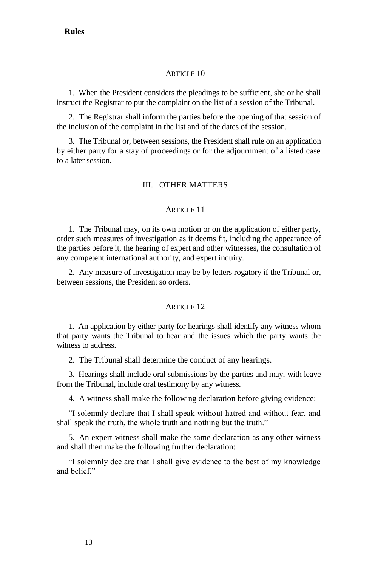1. When the President considers the pleadings to be sufficient, she or he shall instruct the Registrar to put the complaint on the list of a session of the Tribunal.

2. The Registrar shall inform the parties before the opening of that session of the inclusion of the complaint in the list and of the dates of the session.

3. The Tribunal or, between sessions, the President shall rule on an application by either party for a stay of proceedings or for the adjournment of a listed case to a later session.

# III. OTHER MATTERS

# ARTICLE 11

1. The Tribunal may, on its own motion or on the application of either party, order such measures of investigation as it deems fit, including the appearance of the parties before it, the hearing of expert and other witnesses, the consultation of any competent international authority, and expert inquiry.

2. Any measure of investigation may be by letters rogatory if the Tribunal or, between sessions, the President so orders.

#### ARTICLE 12

1. An application by either party for hearings shall identify any witness whom that party wants the Tribunal to hear and the issues which the party wants the witness to address.

2. The Tribunal shall determine the conduct of any hearings.

3. Hearings shall include oral submissions by the parties and may, with leave from the Tribunal, include oral testimony by any witness.

4. A witness shall make the following declaration before giving evidence:

"I solemnly declare that I shall speak without hatred and without fear, and shall speak the truth, the whole truth and nothing but the truth."

5. An expert witness shall make the same declaration as any other witness and shall then make the following further declaration:

"I solemnly declare that I shall give evidence to the best of my knowledge and belief."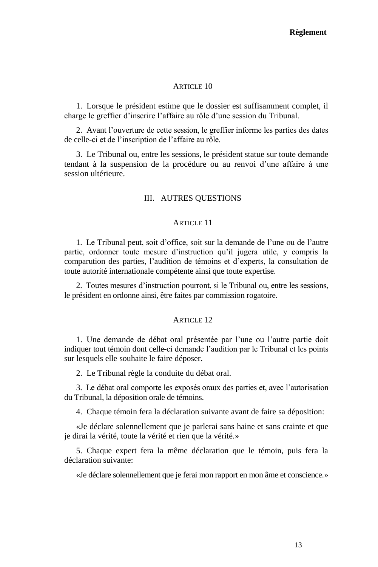1. Lorsque le président estime que le dossier est suffisamment complet, il charge le greffier d'inscrire l'affaire au rôle d'une session du Tribunal.

2. Avant l'ouverture de cette session, le greffier informe les parties des dates de celle-ci et de l'inscription de l'affaire au rôle.

3. Le Tribunal ou, entre les sessions, le président statue sur toute demande tendant à la suspension de la procédure ou au renvoi d'une affaire à une session ultérieure.

## III. AUTRES QUESTIONS

## **ARTICLE 11**

1. Le Tribunal peut, soit d'office, soit sur la demande de l'une ou de l'autre partie, ordonner toute mesure d'instruction qu'il jugera utile, y compris la comparution des parties, l'audition de témoins et d'experts, la consultation de toute autorité internationale compétente ainsi que toute expertise.

2. Toutes mesures d'instruction pourront, si le Tribunal ou, entre les sessions, le président en ordonne ainsi, être faites par commission rogatoire.

#### ARTICLE 12

1. Une demande de débat oral présentée par l'une ou l'autre partie doit indiquer tout témoin dont celle-ci demande l'audition par le Tribunal et les points sur lesquels elle souhaite le faire déposer.

2. Le Tribunal règle la conduite du débat oral.

3. Le débat oral comporte les exposés oraux des parties et, avec l'autorisation du Tribunal, la déposition orale de témoins.

4. Chaque témoin fera la déclaration suivante avant de faire sa déposition:

«Je déclare solennellement que je parlerai sans haine et sans crainte et que je dirai la vérité, toute la vérité et rien que la vérité.»

5. Chaque expert fera la même déclaration que le témoin, puis fera la déclaration suivante:

«Je déclare solennellement que je ferai mon rapport en mon âme et conscience.»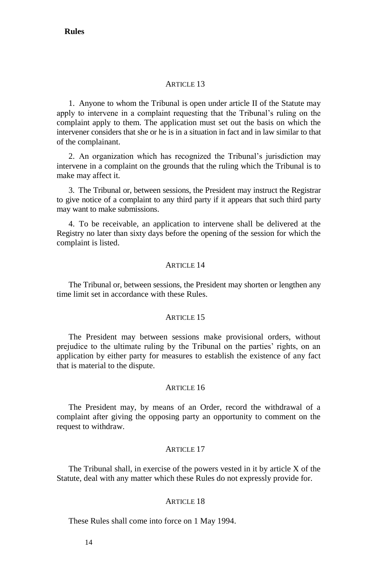# $ARTICI$ F13

1. Anyone to whom the Tribunal is open under article II of the Statute may apply to intervene in a complaint requesting that the Tribunal's ruling on the complaint apply to them. The application must set out the basis on which the intervener considers that she or he is in a situation in fact and in law similar to that of the complainant.

2. An organization which has recognized the Tribunal's jurisdiction may intervene in a complaint on the grounds that the ruling which the Tribunal is to make may affect it.

3. The Tribunal or, between sessions, the President may instruct the Registrar to give notice of a complaint to any third party if it appears that such third party may want to make submissions.

4. To be receivable, an application to intervene shall be delivered at the Registry no later than sixty days before the opening of the session for which the complaint is listed.

#### **ARTICLE 14**

The Tribunal or, between sessions, the President may shorten or lengthen any time limit set in accordance with these Rules.

#### **ARTICLE 15**

The President may between sessions make provisional orders, without prejudice to the ultimate ruling by the Tribunal on the parties' rights, on an application by either party for measures to establish the existence of any fact that is material to the dispute.

#### ARTICLE 16

The President may, by means of an Order, record the withdrawal of a complaint after giving the opposing party an opportunity to comment on the request to withdraw.

#### ARTICLE 17

The Tribunal shall, in exercise of the powers vested in it by article X of the Statute, deal with any matter which these Rules do not expressly provide for.

#### ARTICLE 18

These Rules shall come into force on 1 May 1994.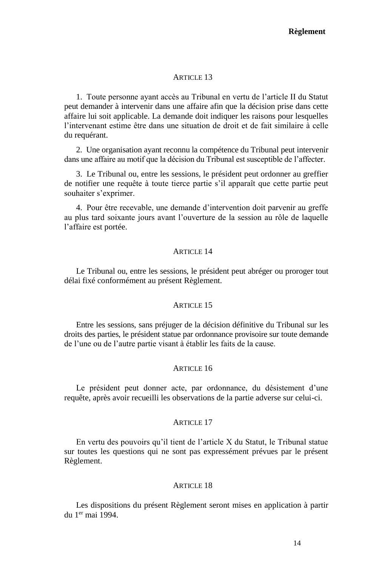1. Toute personne ayant accès au Tribunal en vertu de l'article II du Statut peut demander à intervenir dans une affaire afin que la décision prise dans cette affaire lui soit applicable. La demande doit indiquer les raisons pour lesquelles l'intervenant estime être dans une situation de droit et de fait similaire à celle du requérant.

2. Une organisation ayant reconnu la compétence du Tribunal peut intervenir dans une affaire au motif que la décision du Tribunal est susceptible de l'affecter.

3. Le Tribunal ou, entre les sessions, le président peut ordonner au greffier de notifier une requête à toute tierce partie s'il apparaît que cette partie peut souhaiter s'exprimer.

4. Pour être recevable, une demande d'intervention doit parvenir au greffe au plus tard soixante jours avant l'ouverture de la session au rôle de laquelle l'affaire est portée.

#### ARTICLE 14

Le Tribunal ou, entre les sessions, le président peut abréger ou proroger tout délai fixé conformément au présent Règlement.

#### **ARTICLE 15**

Entre les sessions, sans préjuger de la décision définitive du Tribunal sur les droits des parties, le président statue par ordonnance provisoire sur toute demande de l'une ou de l'autre partie visant à établir les faits de la cause.

# **ARTICLE 16**

Le président peut donner acte, par ordonnance, du désistement d'une requête, après avoir recueilli les observations de la partie adverse sur celui-ci.

#### ARTICLE 17

En vertu des pouvoirs qu'il tient de l'article X du Statut, le Tribunal statue sur toutes les questions qui ne sont pas expressément prévues par le présent Règlement.

#### ARTICLE 18

Les dispositions du présent Règlement seront mises en application à partir du 1er mai 1994.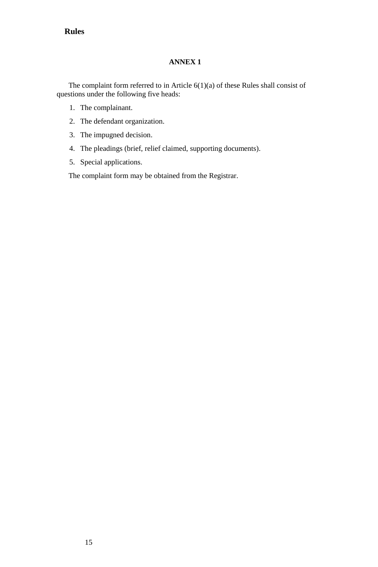# **Rules**

# **ANNEX 1**

<span id="page-27-0"></span>The complaint form referred to in Article 6(1)(a) of these Rules shall consist of questions under the following five heads:

- 1. The complainant.
- 2. The defendant organization.
- 3. The impugned decision.
- 4. The pleadings (brief, relief claimed, supporting documents).
- 5. Special applications.

The complaint form may be obtained from the Registrar.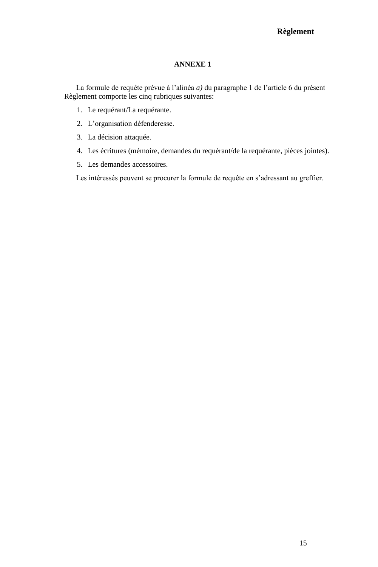# **Règlement**

# **ANNEXE 1**

<span id="page-28-0"></span>La formule de requête prévue à l'alinéa *a)* du paragraphe 1 de l'article 6 du présent Règlement comporte les cinq rubriques suivantes:

- 1. Le requérant/La requérante.
- 2. L'organisation défenderesse.
- 3. La décision attaquée.
- 4. Les écritures (mémoire, demandes du requérant/de la requérante, pièces jointes).
- 5. Les demandes accessoires.

Les intéressés peuvent se procurer la formule de requête en s'adressant au greffier.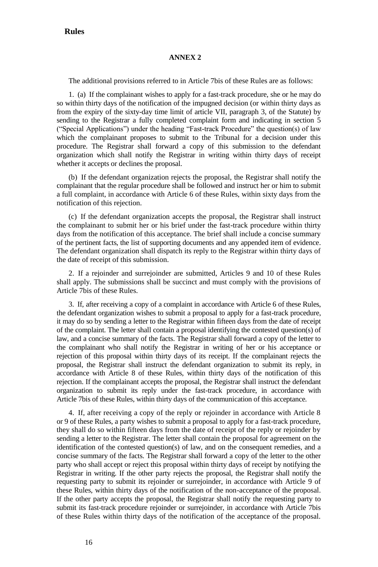#### **ANNEX 2**

<span id="page-29-0"></span>The additional provisions referred to in Article 7bis of these Rules are as follows:

1. (a) If the complainant wishes to apply for a fast-track procedure, she or he may do so within thirty days of the notification of the impugned decision (or within thirty days as from the expiry of the sixty-day time limit of article VII, paragraph 3, of the Statute) by sending to the Registrar a fully completed complaint form and indicating in section 5 ("Special Applications") under the heading "Fast-track Procedure" the question(s) of law which the complainant proposes to submit to the Tribunal for a decision under this procedure. The Registrar shall forward a copy of this submission to the defendant organization which shall notify the Registrar in writing within thirty days of receipt whether it accepts or declines the proposal.

(b) If the defendant organization rejects the proposal, the Registrar shall notify the complainant that the regular procedure shall be followed and instruct her or him to submit a full complaint, in accordance with Article 6 of these Rules, within sixty days from the notification of this rejection.

(c) If the defendant organization accepts the proposal, the Registrar shall instruct the complainant to submit her or his brief under the fast-track procedure within thirty days from the notification of this acceptance. The brief shall include a concise summary of the pertinent facts, the list of supporting documents and any appended item of evidence. The defendant organization shall dispatch its reply to the Registrar within thirty days of the date of receipt of this submission.

2. If a rejoinder and surrejoinder are submitted, Articles 9 and 10 of these Rules shall apply. The submissions shall be succinct and must comply with the provisions of Article 7bis of these Rules.

3. If, after receiving a copy of a complaint in accordance with Article 6 of these Rules, the defendant organization wishes to submit a proposal to apply for a fast-track procedure, it may do so by sending a letter to the Registrar within fifteen days from the date of receipt of the complaint. The letter shall contain a proposal identifying the contested question(s) of law, and a concise summary of the facts. The Registrar shall forward a copy of the letter to the complainant who shall notify the Registrar in writing of her or his acceptance or rejection of this proposal within thirty days of its receipt. If the complainant rejects the proposal, the Registrar shall instruct the defendant organization to submit its reply, in accordance with Article 8 of these Rules, within thirty days of the notification of this rejection. If the complainant accepts the proposal, the Registrar shall instruct the defendant organization to submit its reply under the fast-track procedure, in accordance with Article 7bis of these Rules, within thirty days of the communication of this acceptance.

4. If, after receiving a copy of the reply or rejoinder in accordance with Article 8 or 9 of these Rules, a party wishes to submit a proposal to apply for a fast-track procedure, they shall do so within fifteen days from the date of receipt of the reply or rejoinder by sending a letter to the Registrar. The letter shall contain the proposal for agreement on the identification of the contested question(s) of law, and on the consequent remedies, and a concise summary of the facts. The Registrar shall forward a copy of the letter to the other party who shall accept or reject this proposal within thirty days of receipt by notifying the Registrar in writing. If the other party rejects the proposal, the Registrar shall notify the requesting party to submit its rejoinder or surrejoinder, in accordance with Article 9 of these Rules, within thirty days of the notification of the non-acceptance of the proposal. If the other party accepts the proposal, the Registrar shall notify the requesting party to submit its fast-track procedure rejoinder or surrejoinder, in accordance with Article 7bis of these Rules within thirty days of the notification of the acceptance of the proposal.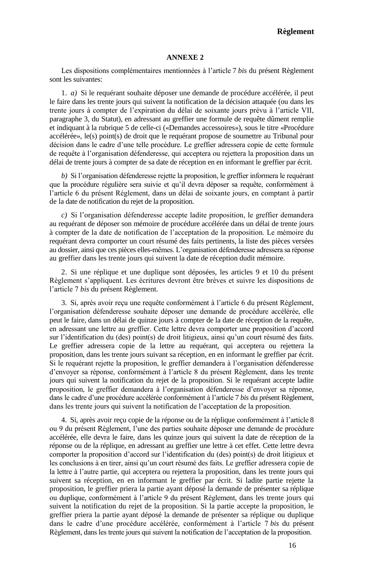#### **Règlement**

#### **ANNEXE 2**

<span id="page-30-0"></span>Les dispositions complémentaires mentionnées à l'article 7 *bis* du présent Règlement sont les suivantes:

1. *a)* Si le requérant souhaite déposer une demande de procédure accélérée, il peut le faire dans les trente jours qui suivent la notification de la décision attaquée (ou dans les trente jours à compter de l'expiration du délai de soixante jours prévu à l'article VII, paragraphe 3, du Statut), en adressant au greffier une formule de requête dûment remplie et indiquant à la rubrique 5 de celle-ci («Demandes accessoires»), sous le titre «Procédure accélérée», le(s) point(s) de droit que le requérant propose de soumettre au Tribunal pour décision dans le cadre d'une telle procédure. Le greffier adressera copie de cette formule de requête à l'organisation défenderesse, qui acceptera ou rejettera la proposition dans un délai de trente jours à compter de sa date de réception en en informant le greffier par écrit.

*b)* Si l'organisation défenderesse rejette la proposition, le greffier informera le requérant que la procédure régulière sera suivie et qu'il devra déposer sa requête, conformément à l'article 6 du présent Règlement, dans un délai de soixante jours, en comptant à partir de la date de notification du rejet de la proposition.

*c)* Si l'organisation défenderesse accepte ladite proposition, le greffier demandera au requérant de déposer son mémoire de procédure accélérée dans un délai de trente jours à compter de la date de notification de l'acceptation de la proposition. Le mémoire du requérant devra comporter un court résumé des faits pertinents, la liste des pièces versées au dossier, ainsi que ces pièces elles-mêmes. L'organisation défenderesse adressera sa réponse au greffier dans les trente jours qui suivent la date de réception dudit mémoire.

2. Si une réplique et une duplique sont déposées, les articles 9 et 10 du présent Règlement s'appliquent. Les écritures devront être brèves et suivre les dispositions de l'article 7 *bis* du présent Règlement.

3. Si, après avoir reçu une requête conformément à l'article 6 du présent Règlement, l'organisation défenderesse souhaite déposer une demande de procédure accélérée, elle peut le faire, dans un délai de quinze jours à compter de la date de réception de la requête, en adressant une lettre au greffier. Cette lettre devra comporter une proposition d'accord sur l'identification du (des) point(s) de droit litigieux, ainsi qu'un court résumé des faits. Le greffier adressera copie de la lettre au requérant, qui acceptera ou rejettera la proposition, dans les trente jours suivant sa réception, en en informant le greffier par écrit. Si le requérant rejette la proposition, le greffier demandera à l'organisation défenderesse d'envoyer sa réponse, conformément à l'article 8 du présent Règlement, dans les trente jours qui suivent la notification du rejet de la proposition. Si le requérant accepte ladite proposition, le greffier demandera à l'organisation défenderesse d'envoyer sa réponse, dans le cadre d'une procédure accélérée conformément à l'article 7 *bis* du présent Règlement, dans les trente jours qui suivent la notification de l'acceptation de la proposition.

4. Si, après avoir reçu copie de la réponse ou de la réplique conformément à l'article 8 ou 9 du présent Règlement, l'une des parties souhaite déposer une demande de procédure accélérée, elle devra le faire, dans les quinze jours qui suivent la date de réception de la réponse ou de la réplique, en adressant au greffier une lettre à cet effet. Cette lettre devra comporter la proposition d'accord sur l'identification du (des) point(s) de droit litigieux et les conclusions à en tirer, ainsi qu'un court résumé des faits. Le greffier adressera copie de la lettre à l'autre partie, qui acceptera ou rejettera la proposition, dans les trente jours qui suivent sa réception, en en informant le greffier par écrit. Si ladite partie rejette la proposition, le greffier priera la partie ayant déposé la demande de présenter sa réplique ou duplique, conformément à l'article 9 du présent Règlement, dans les trente jours qui suivent la notification du rejet de la proposition. Si la partie accepte la proposition, le greffier priera la partie ayant déposé la demande de présenter sa réplique ou duplique dans le cadre d'une procédure accélérée, conformément à l'article 7 *bis* du présent Règlement, dans les trente jours qui suivent la notification de l'acceptation de la proposition.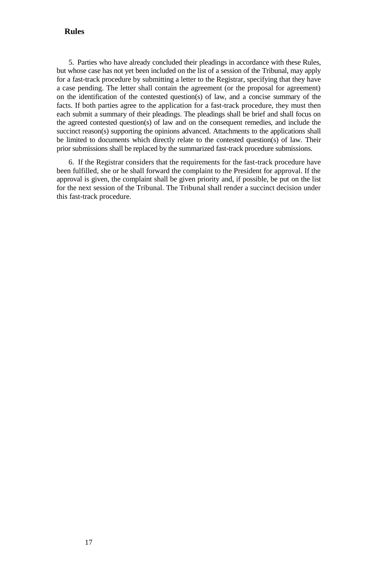### **Rules**

5. Parties who have already concluded their pleadings in accordance with these Rules, but whose case has not yet been included on the list of a session of the Tribunal, may apply for a fast-track procedure by submitting a letter to the Registrar, specifying that they have a case pending. The letter shall contain the agreement (or the proposal for agreement) on the identification of the contested question(s) of law, and a concise summary of the facts. If both parties agree to the application for a fast-track procedure, they must then each submit a summary of their pleadings. The pleadings shall be brief and shall focus on the agreed contested question(s) of law and on the consequent remedies, and include the succinct reason(s) supporting the opinions advanced. Attachments to the applications shall be limited to documents which directly relate to the contested question(s) of law. Their prior submissions shall be replaced by the summarized fast-track procedure submissions.

6. If the Registrar considers that the requirements for the fast-track procedure have been fulfilled, she or he shall forward the complaint to the President for approval. If the approval is given, the complaint shall be given priority and, if possible, be put on the list for the next session of the Tribunal. The Tribunal shall render a succinct decision under this fast-track procedure.